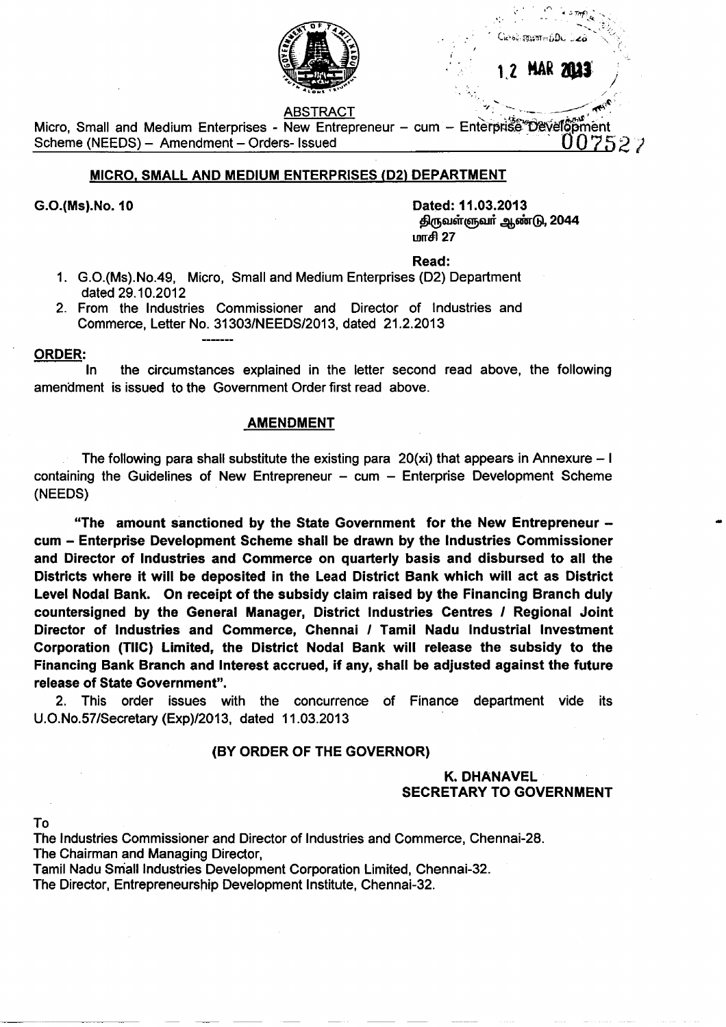

ABSTRACT

ABSTRACT<br>Micro, Small and Medium Enterprises - New Entrepreneur – cum – Enterprise Development<br>Scheme (NEEDS) – Amendment – Orders- Issued \_ 007527

# **MICRO. SMALL AND MEDIUM ENTERPRISES (D21 DEPARTMENT**

**G.O.(Ms).No. 10 Dated: 11.03.2013** திருவள்ளுவர் ஆண்டு, 2044  $L$ orr $\epsilon$  27

**Read:**

- 1. G.O.(Ms).No.49, Micro, Small and Medium Enterprises (D2) Department dated 29.10.2012
- 2. From the Industries Commissioner and Director of Industries and Commerce, Letter No. 31303/NEEDS/2013, dated 21.2.2013

### **ORDER:**

In the circumstances explained in the letter second read above, the following amendment is issued to the Government Order first read above.

### **AMENDMENT**

The following para shall substitute the existing para  $20(xi)$  that appears in Annexure - I containing the Guidelines of New Entrepreneur  $-$  cum  $-$  Enterprise Development Scheme (NEEDS)

**"The amount sanctioned by the State Government for the New Entrepreneur cum - Enterprise Development Scheme shall be drawn by the Industries Commissioner and Director of Industries and Commerce on quarterly basis and disbursed to all the Districts where it will be deposited in the Lead District Bank which will act as District Level Nodal Bank. On receipt of the subsidy claim raised by the Financing Branch duly countersigned by the General Manager, District Industries Centres / Regional Joint Director of Industries and Commerce, Chennai / Tamil Nadu Industrial Investment Corporation (TIIC) Limited, the District Nodal Bank will release the subsidy to the Financing Bank Branch and Interest accrued, if any, shall be adjusted against the future release of State Government".**

2. This order issues with the concurrence of Finance department vide its U.O.No.57/Secretary(Exp)/2013, dated 11.03.2013

## **(BY ORDER OF THE GOVERNOR)**

# **K. DHANAVEL SECRETARY TO GOVERNMENT**

**To**

The Industries Commissioner and Director of Industries and Commerce, Chennai-28. The Chairman and Managing Director,

Tamil Nadu Small Industries Development Corporation Limited, Chennai-32. The Director, Entrepreneurship Development Institute, Chennai-32.